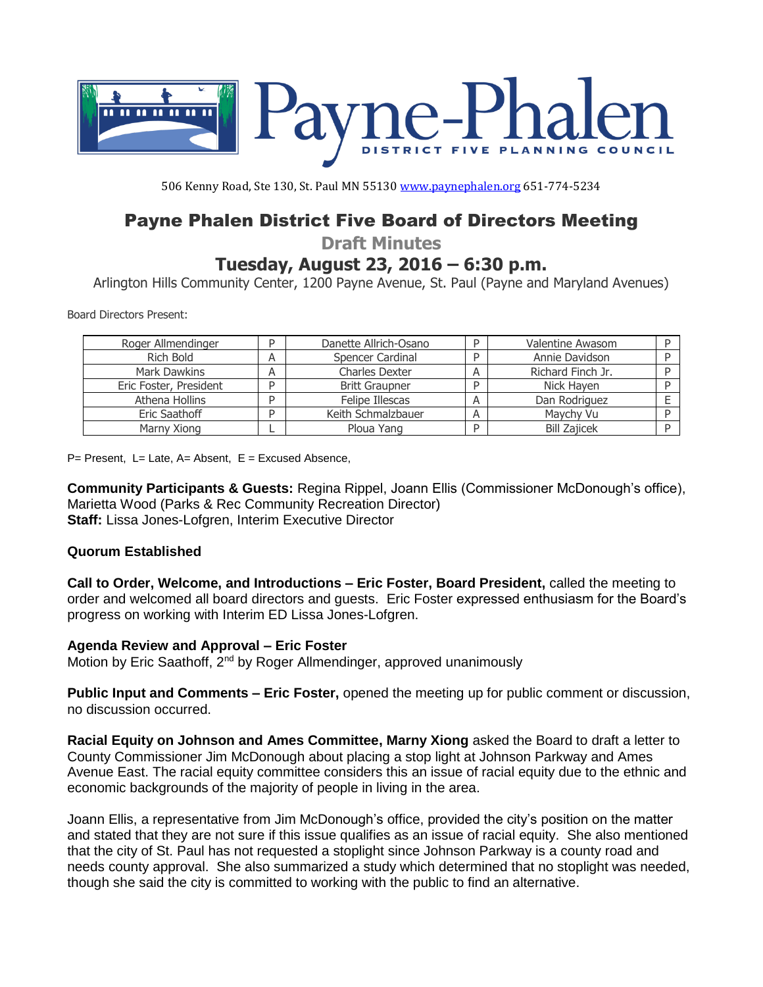

506 Kenny Road, Ste 130, St. Paul MN 55130 [www.paynephalen.org](http://www.paynephalen.org/) 651-774-5234

# Payne Phalen District Five Board of Directors Meeting

**Draft Minutes**

## **Tuesday, August 23, 2016 – 6:30 p.m.**

Arlington Hills Community Center, 1200 Payne Avenue, St. Paul (Payne and Maryland Avenues)

Board Directors Present:

| Roger Allmendinger     | D | Danette Allrich-Osano |   | Valentine Awasom    |   |
|------------------------|---|-----------------------|---|---------------------|---|
| Rich Bold              | А | Spencer Cardinal      |   | Annie Davidson      |   |
| Mark Dawkins           |   | Charles Dexter        | А | Richard Finch Jr.   |   |
| Eric Foster, President | D | <b>Britt Graupner</b> | D | Nick Hayen          |   |
| Athena Hollins         |   | Felipe Illescas       |   | Dan Rodriguez       |   |
| Eric Saathoff          |   | Keith Schmalzbauer    |   | Maychy Vu           |   |
| Marny Xiong            |   | Ploua Yang            | D | <b>Bill Zajicek</b> | D |

P= Present, L= Late, A= Absent, E = Excused Absence,

**Community Participants & Guests:** Regina Rippel, Joann Ellis (Commissioner McDonough's office), Marietta Wood (Parks & Rec Community Recreation Director) **Staff:** Lissa Jones-Lofgren, Interim Executive Director

#### **Quorum Established**

**Call to Order, Welcome, and Introductions – Eric Foster, Board President,** called the meeting to order and welcomed all board directors and guests. Eric Foster expressed enthusiasm for the Board's progress on working with Interim ED Lissa Jones-Lofgren.

#### **Agenda Review and Approval – Eric Foster**

Motion by Eric Saathoff, 2<sup>nd</sup> by Roger Allmendinger, approved unanimously

**Public Input and Comments – Eric Foster,** opened the meeting up for public comment or discussion, no discussion occurred.

**Racial Equity on Johnson and Ames Committee, Marny Xiong** asked the Board to draft a letter to County Commissioner Jim McDonough about placing a stop light at Johnson Parkway and Ames Avenue East. The racial equity committee considers this an issue of racial equity due to the ethnic and economic backgrounds of the majority of people in living in the area.

Joann Ellis, a representative from Jim McDonough's office, provided the city's position on the matter and stated that they are not sure if this issue qualifies as an issue of racial equity. She also mentioned that the city of St. Paul has not requested a stoplight since Johnson Parkway is a county road and needs county approval. She also summarized a study which determined that no stoplight was needed, though she said the city is committed to working with the public to find an alternative.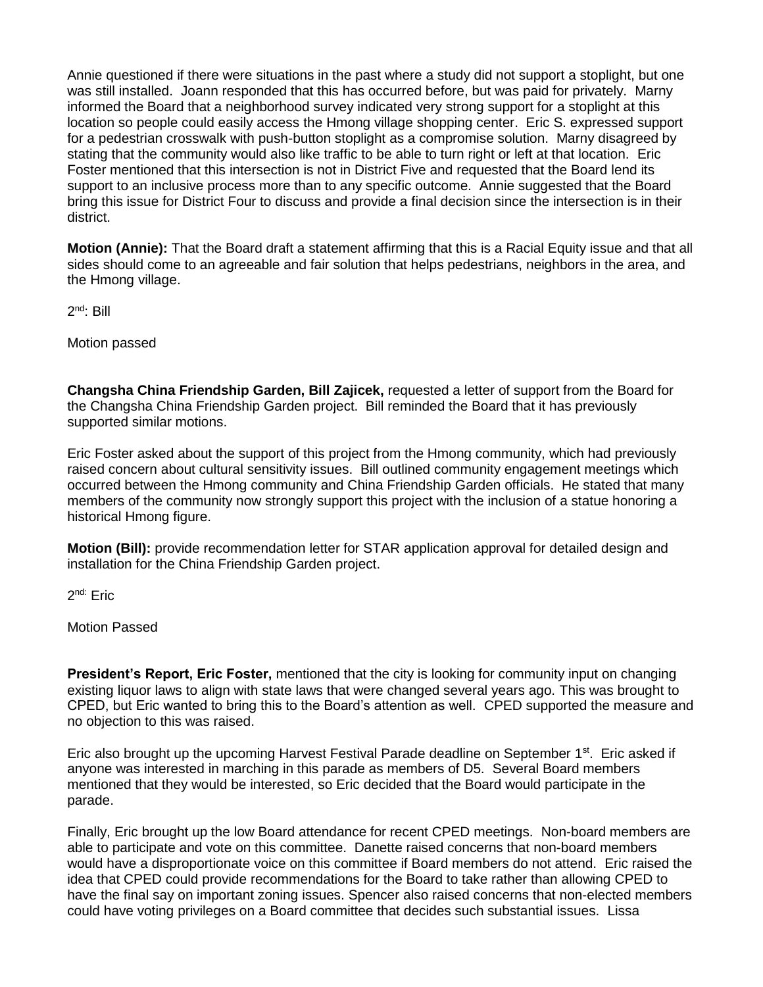Annie questioned if there were situations in the past where a study did not support a stoplight, but one was still installed. Joann responded that this has occurred before, but was paid for privately. Marny informed the Board that a neighborhood survey indicated very strong support for a stoplight at this location so people could easily access the Hmong village shopping center. Eric S. expressed support for a pedestrian crosswalk with push-button stoplight as a compromise solution. Marny disagreed by stating that the community would also like traffic to be able to turn right or left at that location. Eric Foster mentioned that this intersection is not in District Five and requested that the Board lend its support to an inclusive process more than to any specific outcome. Annie suggested that the Board bring this issue for District Four to discuss and provide a final decision since the intersection is in their district.

**Motion (Annie):** That the Board draft a statement affirming that this is a Racial Equity issue and that all sides should come to an agreeable and fair solution that helps pedestrians, neighbors in the area, and the Hmong village.

2<sup>nd</sup>: Bill

Motion passed

**Changsha China Friendship Garden, Bill Zajicek,** requested a letter of support from the Board for the Changsha China Friendship Garden project. Bill reminded the Board that it has previously supported similar motions.

Eric Foster asked about the support of this project from the Hmong community, which had previously raised concern about cultural sensitivity issues. Bill outlined community engagement meetings which occurred between the Hmong community and China Friendship Garden officials. He stated that many members of the community now strongly support this project with the inclusion of a statue honoring a historical Hmong figure.

**Motion (Bill):** provide recommendation letter for STAR application approval for detailed design and installation for the China Friendship Garden project.

2<sup>nd:</sup> Eric

Motion Passed

**President's Report, Eric Foster,** mentioned that the city is looking for community input on changing existing liquor laws to align with state laws that were changed several years ago. This was brought to CPED, but Eric wanted to bring this to the Board's attention as well. CPED supported the measure and no objection to this was raised.

Eric also brought up the upcoming Harvest Festival Parade deadline on September  $1<sup>st</sup>$ . Eric asked if anyone was interested in marching in this parade as members of D5. Several Board members mentioned that they would be interested, so Eric decided that the Board would participate in the parade.

Finally, Eric brought up the low Board attendance for recent CPED meetings. Non-board members are able to participate and vote on this committee. Danette raised concerns that non-board members would have a disproportionate voice on this committee if Board members do not attend. Eric raised the idea that CPED could provide recommendations for the Board to take rather than allowing CPED to have the final say on important zoning issues. Spencer also raised concerns that non-elected members could have voting privileges on a Board committee that decides such substantial issues. Lissa